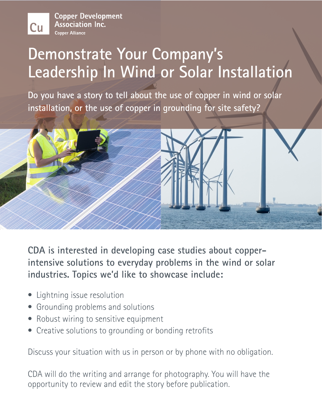**Copper Development Association Inc. Copper Alliance** 

**Cu** 

## **Demonstrate Your Company's Leadership In Wind or Solar Installation**

**Do you have a story to tell about the use of copper in wind or solar installation, or the use of copper in grounding for site safety?**



**CDA is interested in developing case studies about copperintensive solutions to everyday problems in the wind or solar industries. Topics we'd like to showcase include:**

- Lightning issue resolution
- Grounding problems and solutions
- Robust wiring to sensitive equipment
- Creative solutions to grounding or bonding retrofits

Discuss your situation with us in person or by phone with no obligation.

CDA will do the writing and arrange for photography. You will have the opportunity to review and edit the story before publication.